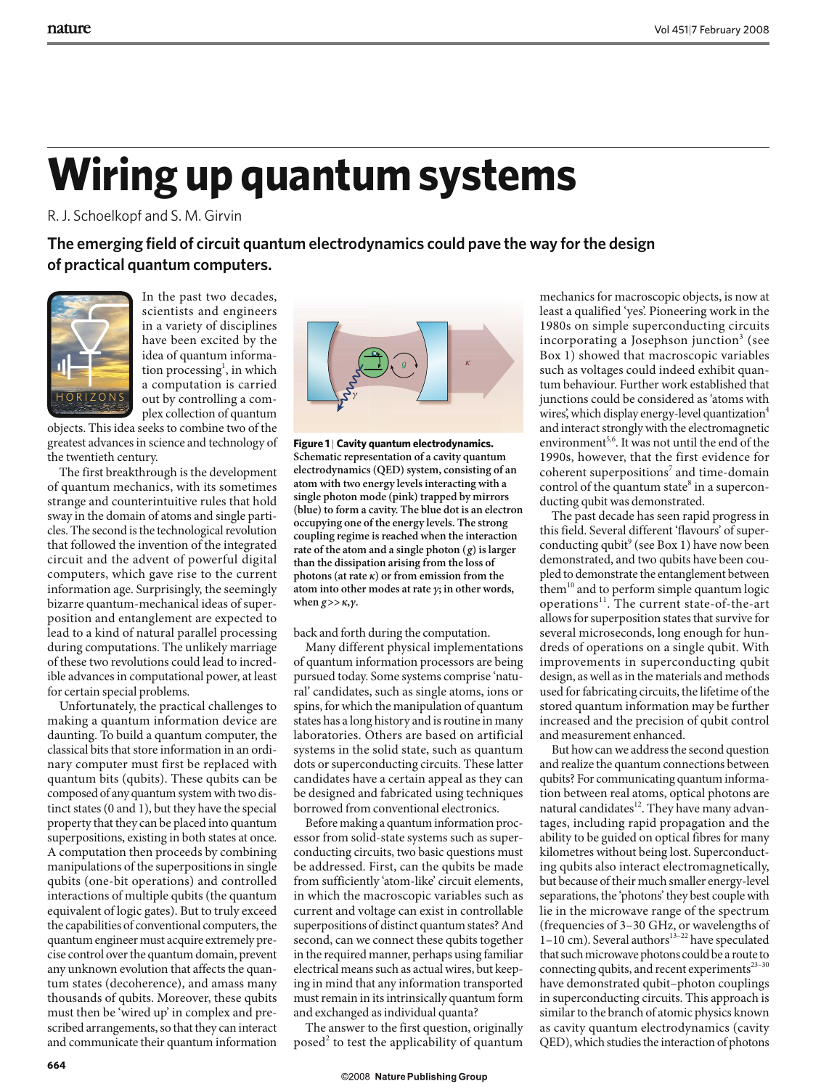# **Wiring up quantum systems**

R. J. Schoelkopf and S. M. Girvin

**The emerging field of circuit quantum electrodynamics could pave the way for the design of practical quantum computers.**



In the past two decades, scientists and engineers in a variety of disciplines have been excited by the idea of quantum information processing<sup>1</sup>, in which a computation is carried out by controlling a complex collection of quantum

objects. This idea seeks to combine two of the greatest advances in science and technology of the twentieth century.

The first breakthrough is the development of quantum mechanics, with its sometimes strange and counterintuitive rules that hold sway in the domain of atoms and single particles. The second is the technological revolution that followed the invention of the integrated circuit and the advent of powerful digital computers, which gave rise to the current information age. Surprisingly, the seemingly bizarre quantum-mechanical ideas of superposition and entanglement are expected to lead to a kind of natural parallel processing during computations. The unlikely marriage of these two revolutions could lead to incredible advances in computational power, at least for certain special problems.

Unfortunately, the practical challenges to making a quantum information device are daunting. To build a quantum computer, the classical bits that store information in an ordinary computer must first be replaced with quantum bits (qubits). These qubits can be composed of any quantum system with two distinct states (0 and 1), but they have the special property that they can be placed into quantum superpositions, existing in both states at once. A computation then proceeds by combining manipulations of the superpositions in single qubits (one-bit operations) and controlled interactions of multiple qubits (the quantum equivalent of logic gates). But to truly exceed the capabilities of conventional computers, the quantum engineer must acquire extremely precise control over the quantum domain, prevent any unknown evolution that affects the quantum states (decoherence), and amass many thousands of qubits. Moreover, these qubits must then be 'wired up' in complex and prescribed arrangements, so that they can interact and communicate their quantum information



**Figure 1** | **Cavity quantum electrodynamics. Schematic representation of a cavity quantum electrodynamics (QED) system, consisting of an atom with two energy levels interacting with a single photon mode (pink) trapped by mirrors (blue) to form a cavity. The blue dot is an electron occupying one of the energy levels. The strong coupling regime is reached when the interaction rate of the atom and a single photon (***g***) is larger than the dissipation arising from the loss of photons (at rate** *κ***) or from emission from the atom into other modes at rate** *γ***; in other words, when**  $g \gg \kappa, \gamma$ .

back and forth during the computation.

Many different physical implementations of quantum information processors are being pursued today. Some systems comprise 'natural' candidates, such as single atoms, ions or spins, for which the manipulation of quantum states has a long history and is routine in many laboratories. Others are based on artificial systems in the solid state, such as quantum dots or superconducting circuits. These latter candidates have a certain appeal as they can be designed and fabricated using techniques borrowed from conventional electronics.

Before making a quantum information processor from solid-state systems such as superconducting circuits, two basic questions must be addressed. First, can the qubits be made from sufficiently 'atom-like' circuit elements, in which the macroscopic variables such as current and voltage can exist in controllable superpositions of distinct quantum states? And second, can we connect these qubits together in the required manner, perhaps using familiar electrical means such as actual wires, but keeping in mind that any information transported must remain in its intrinsically quantum form and exchanged as individual quanta?

The answer to the first question, originally posed<sup>2</sup> to test the applicability of quantum

mechanics for macroscopic objects, is now at least a qualified 'yes'. Pioneering work in the 1980s on simple superconducting circuits incorporating a Josephson junction<sup>3</sup> (see Box 1) showed that macroscopic variables such as voltages could indeed exhibit quantum behaviour. Further work established that junctions could be considered as 'atoms with wires', which display energy-level quantization $4$ and interact strongly with the electromagnetic environment<sup>5,6</sup>. It was not until the end of the 1990s, however, that the first evidence for coherent superpositions<sup>7</sup> and time-domain control of the quantum state<sup>8</sup> in a superconducting qubit was demonstrated.

The past decade has seen rapid progress in this field. Several different 'flavours' of superconducting qubit<sup>9</sup> (see Box 1) have now been demonstrated, and two qubits have been coupled to demonstrate the entanglement between them<sup>10</sup> and to perform simple quantum logic operations<sup>11</sup>. The current state-of-the-art allows for superposition states that survive for several microseconds, long enough for hundreds of operations on a single qubit. With improvements in superconducting qubit design, as well as in the materials and methods used for fabricating circuits, the lifetime of the stored quantum information may be further increased and the precision of qubit control and measurement enhanced.

But how can we address the second question and realize the quantum connections between qubits? For communicating quantum information between real atoms, optical photons are natural candidates<sup>12</sup>. They have many advantages, including rapid propagation and the ability to be guided on optical fibres for many kilometres without being lost. Superconducting qubits also interact electromagnetically, but because of their much smaller energy-level separations, the 'photons' they best couple with lie in the microwave range of the spectrum (frequencies of 3–30 GHz, or wavelengths of  $1-10$  cm). Several authors<sup>13-22</sup> have speculated that such microwave photons could be a route to connecting qubits, and recent experiments $^{23-30}$ have demonstrated qubit–photon couplings in superconducting circuits. This approach is similar to the branch of atomic physics known as cavity quantum electrodynamics (cavity QED), which studies the interaction of photons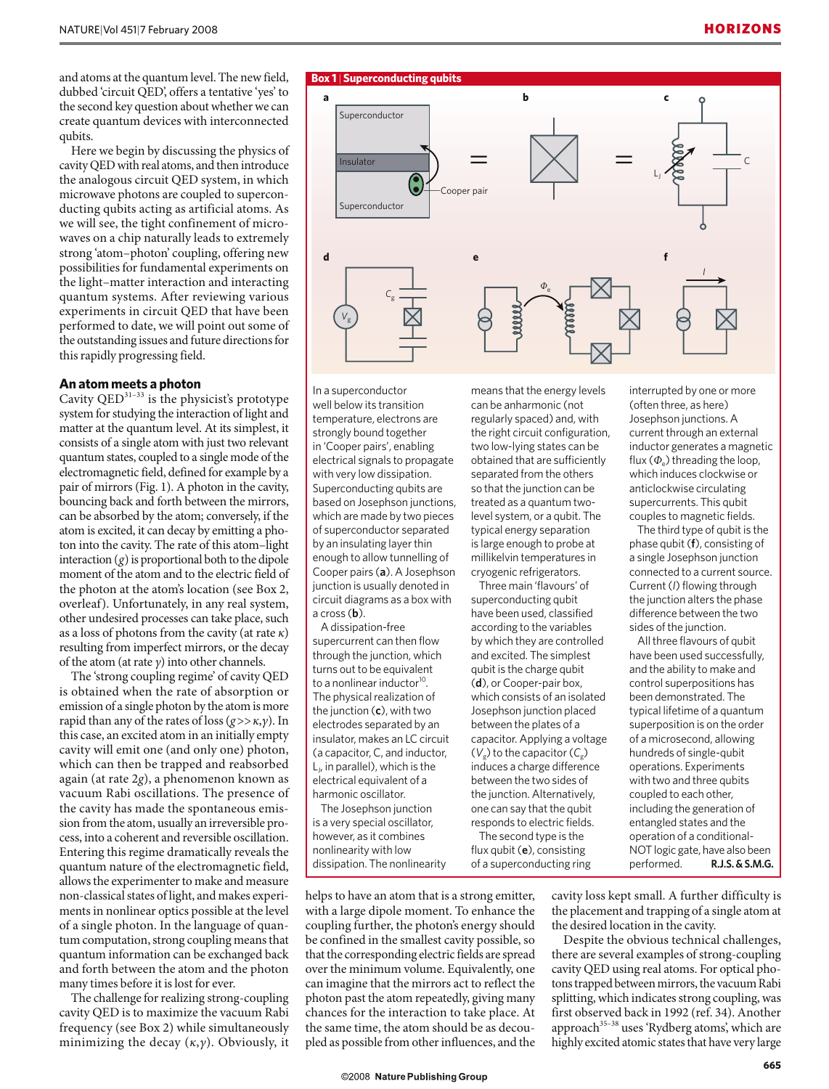and atoms at the quantum level. The new field, dubbed 'circuit QED', offers a tentative 'yes' to the second key question about whether we can create quantum devices with interconnected qubits.

Here we begin by discussing the physics of cavity QED with real atoms, and then introduce the analogous circuit QED system, in which microwave photons are coupled to superconducting qubits acting as artificial atoms. As we will see, the tight confinement of microwaves on a chip naturally leads to extremely strong 'atom–photon' coupling, offering new possibilities for fundamental experiments on the light–matter interaction and interacting quantum systems. After reviewing various experiments in circuit QED that have been performed to date, we will point out some of the outstanding issues and future directions for this rapidly progressing field.

## **An atom meets a photon**

Cavity QED<sup>31-33</sup> is the physicist's prototype system for studying the interaction of light and matter at the quantum level. At its simplest, it consists of a single atom with just two relevant quantum states, coupled to a single mode of the electromagnetic field, defined for example by a pair of mirrors (Fig. 1). A photon in the cavity, bouncing back and forth between the mirrors, can be absorbed by the atom; conversely, if the atom is excited, it can decay by emitting a photon into the cavity. The rate of this atom–light interaction  $(g)$  is proportional both to the dipole moment of the atom and to the electric field of the photon at the atom's location (see Box 2, overleaf). Unfortunately, in any real system, other undesired processes can take place, such as a loss of photons from the cavity (at rate  $\kappa$ ) resulting from imperfect mirrors, or the decay of the atom (at rate  $\gamma$ ) into other channels.

The 'strong coupling regime' of cavity QED is obtained when the rate of absorption or emission of a single photon by the atom is more rapid than any of the rates of loss  $(g \gg \kappa, \gamma)$ . In this case, an excited atom in an initially empty cavity will emit one (and only one) photon, which can then be trapped and reabsorbed again (at rate 2g), a phenomenon known as vacuum Rabi oscillations. The presence of the cavity has made the spontaneous emission from the atom, usually an irreversible process, into a coherent and reversible oscillation. Entering this regime dramatically reveals the quantum nature of the electromagnetic field, allows the experimenter to make and measure non-classical states of light, and makes experiments in nonlinear optics possible at the level of a single photon. In the language of quantum computation, strong coupling means that quantum information can be exchanged back and forth between the atom and the photon many times before it is lost for ever.

The challenge for realizing strong-coupling cavity QED is to maximize the vacuum Rabi frequency (see Box 2) while simultaneously minimizing the decay  $(\kappa, \gamma)$ . Obviously, it

In a superconductor well below its transition temperature, electrons are strongly bound together in 'Cooper pairs', enabling electrical signals to propagate with very low dissipation. Superconducting qubits are based on Josephson junctions, which are made by two pieces of superconductor separated by an insulating layer thin enough to allow tunnelling of Cooper pairs (**a**). A Josephson junction is usually denoted in circuit diagrams as a box with a cross (**b**).

A dissipation-free supercurrent can then flow through the junction, which turns out to be equivalent to a nonlinear inductor $10$ . The physical realization of the junction (**c**), with two electrodes separated by an insulator, makes an LC circuit (a capacitor, C, and inductor,  $L_{\nu}$  in parallel), which is the electrical equivalent of a harmonic oscillator.

The Josephson junction is a very special oscillator, however, as it combines nonlinearity with low dissipation. The nonlinearity

helps to have an atom that is a strong emitter, with a large dipole moment. To enhance the coupling further, the photon's energy should be confined in the smallest cavity possible, so that the corresponding electric fields are spread over the minimum volume. Equivalently, one can imagine that the mirrors act to reflect the photon past the atom repeatedly, giving many chances for the interaction to take place. At the same time, the atom should be as decoupled as possible from other influences, and the

©2008 Nature Publishing Group

means that the energy levels can be anharmonic (not regularly spaced) and, with the right circuit configuration, two low-lying states can be obtained that are sufficiently separated from the others so that the junction can be treated as a quantum twolevel system, or a qubit. The typical energy separation is large enough to probe at millikelvin temperatures in cryogenic refrigerators.

Three main 'flavours' of superconducting qubit have been used, classified according to the variables by which they are controlled and excited. The simplest qubit is the charge qubit (**d**), or Cooper-pair box, which consists of an isolated Josephson junction placed between the plates of a capacitor. Applying a voltage ( $V_g$ ) to the capacitor ( $C_g$ ) induces a charge difference between the two sides of the junction. Alternatively, one can say that the qubit responds to electric fields.

The second type is the flux qubit (**e**), consisting of a superconducting ring interrupted by one or more (often three, as here) Josephson junctions. A current through an external inductor generates a magnetic flux  $(\Phi_{\rm e})$  threading the loop, which induces clockwise or anticlockwise circulating supercurrents. This qubit couples to magnetic fields.

The third type of qubit is the phase qubit (**f**), consisting of a single Josephson junction connected to a current source. Current (*I*) flowing through the junction alters the phase difference between the two sides of the junction.

All three flavours of qubit have been used successfully, and the ability to make and control superpositions has been demonstrated. The typical lifetime of a quantum superposition is on the order of a microsecond, allowing hundreds of single-qubit operations. Experiments with two and three qubits coupled to each other, including the generation of entangled states and the operation of a conditional-NOT logic gate, have also been performed. **R.J.S. & S.M.G.**

cavity loss kept small. A further difficulty is the placement and trapping of a single atom at the desired location in the cavity.

Despite the obvious technical challenges, there are several examples of strong-coupling cavity QED using real atoms. For optical photons trapped between mirrors, the vacuum Rabi splitting, which indicates strong coupling, was first observed back in 1992 (ref. 34). Another approach $35-38$  uses 'Rydberg atoms', which are highly excited atomic states that have very large

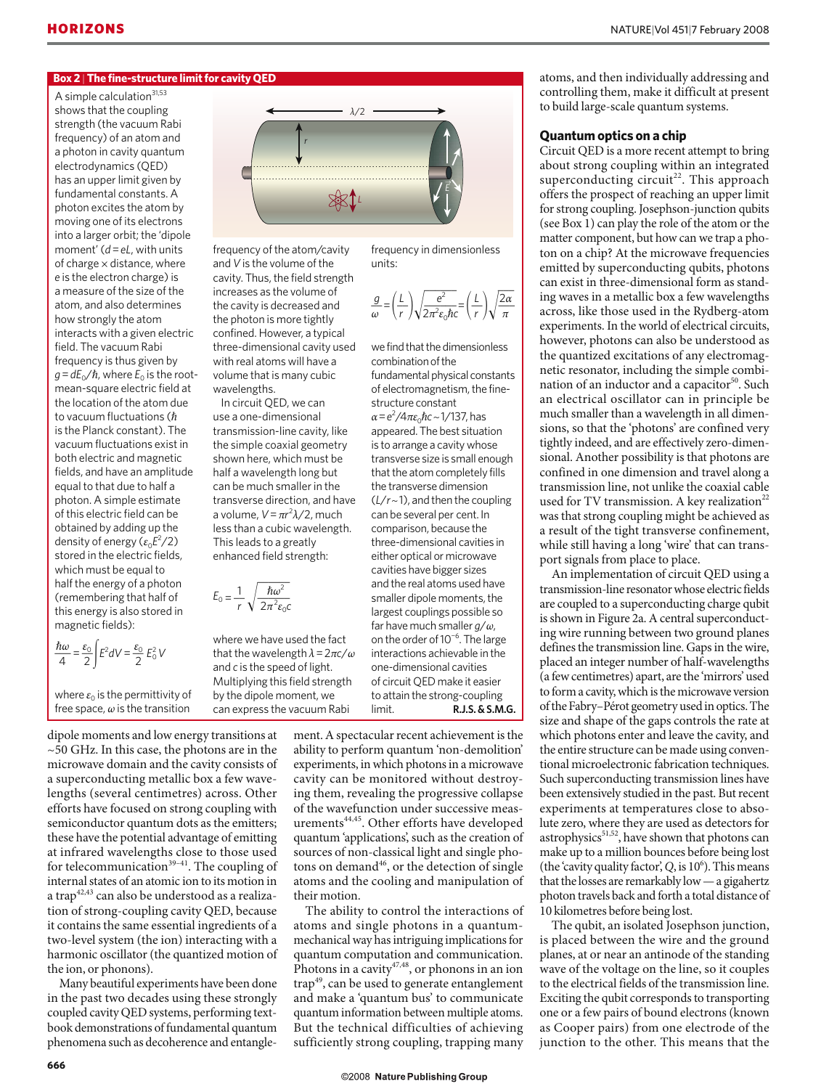# **Box 2** | **The fine-structure limit for cavity QED**

A simple calculation<sup>31,53</sup> shows that the coupling strength (the vacuum Rabi frequency) of an atom and a photon in cavity quantum electrodynamics (QED) has an upper limit given by fundamental constants. A photon excites the atom by moving one of its electrons into a larger orbit; the 'dipole moment' ( $d = eL$ , with units of charge  $\times$  distance, where *e* is the electron charge) is a measure of the size of the atom, and also determines how strongly the atom interacts with a given electric field. The vacuum Rabi frequency is thus given by  $g = dE_0/\hbar$ , where  $E_0$  is the rootmean-square electric field at the location of the atom due to vacuum fluctuations ( $\hbar$ is the Planck constant). The vacuum fluctuations exist in both electric and magnetic fields, and have an amplitude equal to that due to half a photon. A simple estimate of this electric field can be obtained by adding up the density of energy (ε<sub>ο</sub>Ε<sup>2</sup>/2) stored in the electric fields, which must be equal to half the energy of a photon (remembering that half of this energy is also stored in magnetic fields):

 $rac{\hbar \omega}{4} = \frac{\varepsilon_0}{2} \int E^2 dV = \frac{\varepsilon_0}{2} E_0^2 V$ 

where  $\varepsilon_0$  is the permittivity of free space,  $\omega$  is the transition

dipole moments and low energy transitions at  $\sim$  50 GHz. In this case, the photons are in the microwave domain and the cavity consists of a superconducting metallic box a few wavelengths (several centimetres) across. Other efforts have focused on strong coupling with semiconductor quantum dots as the emitters; these have the potential advantage of emitting at infrared wavelengths close to those used for telecommunication $39-41$ . The coupling of internal states of an atomic ion to its motion in a trap42,43 can also be understood as a realization of strong-coupling cavity QED, because it contains the same essential ingredients of a two-level system (the ion) interacting with a harmonic oscillator (the quantized motion of the ion, or phonons).

Many beautiful experiments have been done in the past two decades using these strongly coupled cavity QED systems, performing textbook demonstrations of fundamental quantum phenomena such as decoherence and entangle-

 $\lambda$ /2 *r* → *E* **LEE** 

units:

frequency in dimensionless

 $\frac{g}{\omega} = \left(\frac{L}{r}\right) \sqrt{\frac{e^2}{2\pi^2 \varepsilon_0 \hbar c}} = \left(\frac{L}{r}\right) \sqrt{\frac{2\alpha}{\pi}}$ 

we find that the dimensionless

fundamental physical constants of electromagnetism, the fine-

combination of the

structure constant  $\alpha = e^2/4\pi\varepsilon_0 \hbar c \sim 1/137$ , has appeared. The best situation is to arrange a cavity whose transverse size is small enough that the atom completely fills the transverse dimension (*L*/*r* ~ 1), and then the coupling can be several per cent. In comparison, because the three-dimensional cavities in either optical or microwave cavities have bigger sizes and the real atoms used have smaller dipole moments, the largest couplings possible so far have much smaller *g*/ω, on the order of 10<sup>-6</sup>. The large interactions achievable in the one-dimensional cavities of circuit QED make it easier to attain the strong-coupling limit. **R.J.S. & S.M.G.**

 $\overline{\phantom{a}}$   $\overline{\phantom{a}}$   $\overline{\phantom{a}}$   $\overline{\phantom{a}}$ 

 $\frac{2\alpha}{2}$ 

frequency of the atom/cavity and *V* is the volume of the cavity. Thus, the field strength increases as the volume of the cavity is decreased and the photon is more tightly confined. However, a typical three-dimensional cavity used with real atoms will have a volume that is many cubic wavelengths.

In circuit QED, we can use a one-dimensional transmission-line cavity, like the simple coaxial geometry shown here, which must be half a wavelength long but can be much smaller in the transverse direction, and have a volume,  $V = \pi r^2 \lambda / 2$ , much less than a cubic wavelength. This leads to a greatly enhanced field strength:

$$
E_0 = \frac{1}{r} \sqrt{\frac{\hbar \omega^2}{2\pi^2 \varepsilon_0 c}}
$$

where we have used the fact that the wavelength  $\lambda = 2\pi c/\omega$ and *c* is the speed of light. Multiplying this field strength by the dipole moment, we can express the vacuum Rabi

> ment. A spectacular recent achievement is the ability to perform quantum 'non-demolition' experiments, in which photons in a microwave cavity can be monitored without destroying them, revealing the progressive collapse of the wavefunction under successive measurements<sup>44,45</sup>. Other efforts have developed quantum 'applications', such as the creation of sources of non-classical light and single photons on demand<sup>46</sup>, or the detection of single atoms and the cooling and manipulation of their motion.

> The ability to control the interactions of atoms and single photons in a quantummechanical way has intriguing implications for quantum computation and communication. Photons in a cavity<sup>47,48</sup>, or phonons in an ion trap<sup>49</sup>, can be used to generate entanglement and make a 'quantum bus' to communicate quantum information between multiple atoms. But the technical difficulties of achieving sufficiently strong coupling, trapping many

atoms, and then individually addressing and controlling them, make it difficult at present to build large-scale quantum systems.

#### **Quantum optics on a chip**

Circuit QED is a more recent attempt to bring about strong coupling within an integrated superconducting circuit<sup>22</sup>. This approach offers the prospect of reaching an upper limit for strong coupling. Josephson-junction qubits (see Box 1) can play the role of the atom or the matter component, but how can we trap a photon on a chip? At the microwave frequencies emitted by superconducting qubits, photons can exist in three-dimensional form as standing waves in a metallic box a few wavelengths across, like those used in the Rydberg-atom experiments. In the world of electrical circuits, however, photons can also be understood as the quantized excitations of any electromagnetic resonator, including the simple combination of an inductor and a capacitor<sup>50</sup>. Such an electrical oscillator can in principle be much smaller than a wavelength in all dimensions, so that the 'photons' are confined very tightly indeed, and are effectively zero-dimensional. Another possibility is that photons are confined in one dimension and travel along a transmission line, not unlike the coaxial cable used for TV transmission. A key realization<sup>22</sup> was that strong coupling might be achieved as a result of the tight transverse confinement, while still having a long 'wire' that can transport signals from place to place.

An implementation of circuit QED using a transmission-line resonator whose electric fields are coupled to a superconducting charge qubit is shown in Figure 2a. A central superconducting wire running between two ground planes defines the transmission line. Gaps in the wire, placed an integer number of half-wavelengths (a few centimetres) apart, are the 'mirrors' used to form a cavity, which is the microwave version of the Fabry–Pérot geometry used in optics. The size and shape of the gaps controls the rate at which photons enter and leave the cavity, and the entire structure can be made using conventional microelectronic fabrication techniques. Such superconducting transmission lines have been extensively studied in the past. But recent experiments at temperatures close to absolute zero, where they are used as detectors for astrophysics $51,52$ , have shown that photons can make up to a million bounces before being lost (the 'cavity quality factor',  $Q$ , is  $10<sup>6</sup>$ ). This means that the losses are remarkably low — a gigahertz photon travels back and forth a total distance of 10 kilometres before being lost.

The qubit, an isolated Josephson junction, is placed between the wire and the ground planes, at or near an antinode of the standing wave of the voltage on the line, so it couples to the electrical fields of the transmission line. Exciting the qubit corresponds to transporting one or a few pairs of bound electrons (known as Cooper pairs) from one electrode of the junction to the other. This means that the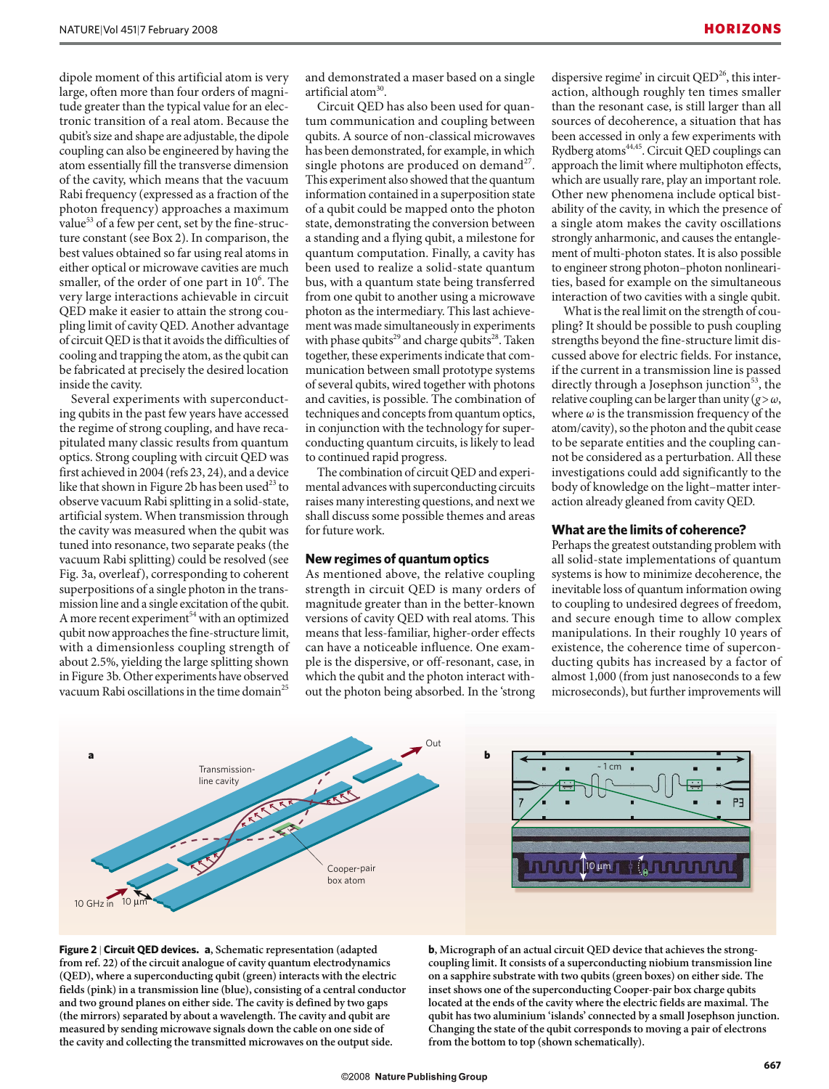dipole moment of this artificial atom is very large, often more than four orders of magnitude greater than the typical value for an electronic transition of a real atom. Because the qubit's size and shape are adjustable, the dipole coupling can also be engineered by having the atom essentially fill the transverse dimension of the cavity, which means that the vacuum Rabi frequency (expressed as a fraction of the photon frequency) approaches a maximum value<sup>53</sup> of a few per cent, set by the fine-structure constant (see Box 2). In comparison, the best values obtained so far using real atoms in either optical or microwave cavities are much smaller, of the order of one part in 10<sup>6</sup>. The very large interactions achievable in circuit QED make it easier to attain the strong coupling limit of cavity QED. Another advantage of circuit QED is that it avoids the difficulties of cooling and trapping the atom, as the qubit can be fabricated at precisely the desired location inside the cavity.

Several experiments with superconducting qubits in the past few years have accessed the regime of strong coupling, and have recapitulated many classic results from quantum optics. Strong coupling with circuit QED was first achieved in 2004 (refs 23, 24), and a device like that shown in Figure 2b has been used<sup>23</sup> to observe vacuum Rabi splitting in a solid-state, artificial system. When transmission through the cavity was measured when the qubit was tuned into resonance, two separate peaks (the vacuum Rabi splitting) could be resolved (see Fig. 3a, overleaf), corresponding to coherent superpositions of a single photon in the transmission line and a single excitation of the qubit. A more recent experiment<sup>54</sup> with an optimized qubit now approaches the fine-structure limit, with a dimensionless coupling strength of about 2.5%, yielding the large splitting shown in Figure 3b. Other experiments have observed vacuum Rabi oscillations in the time domain<sup>25</sup>

and demonstrated a maser based on a single artificial atom $30$ .

Circuit QED has also been used for quantum communication and coupling between qubits. A source of non-classical microwaves has been demonstrated, for example, in which single photons are produced on demand<sup>27</sup>. This experiment also showed that the quantum information contained in a superposition state of a qubit could be mapped onto the photon state, demonstrating the conversion between a standing and a flying qubit, a milestone for quantum computation. Finally, a cavity has been used to realize a solid-state quantum bus, with a quantum state being transferred from one qubit to another using a microwave photon as the intermediary. This last achievement was made simultaneously in experiments with phase qubits<sup>29</sup> and charge qubits<sup>28</sup>. Taken together, these experiments indicate that communication between small prototype systems of several qubits, wired together with photons and cavities, is possible. The combination of techniques and concepts from quantum optics, in conjunction with the technology for superconducting quantum circuits, is likely to lead to continued rapid progress.

The combination of circuit QED and experimental advances with superconducting circuits raises many interesting questions, and next we shall discuss some possible themes and areas for future work.

#### **New regimes of quantum optics**

As mentioned above, the relative coupling strength in circuit QED is many orders of magnitude greater than in the better-known versions of cavity QED with real atoms. This means that less-familiar, higher-order effects can have a noticeable influence. One example is the dispersive, or off-resonant, case, in which the qubit and the photon interact without the photon being absorbed. In the 'strong dispersive regime' in circuit QED<sup>26</sup>, this interaction, although roughly ten times smaller than the resonant case, is still larger than all sources of decoherence, a situation that has been accessed in only a few experiments with  $Rydberg atoms<sup>44,45</sup>$ . Circuit QED couplings can approach the limit where multiphoton effects, which are usually rare, play an important role. Other new phenomena include optical bistability of the cavity, in which the presence of a single atom makes the cavity oscillations strongly anharmonic, and causes the entanglement of multi-photon states. It is also possible to engineer strong photon–photon nonlinearities, based for example on the simultaneous interaction of two cavities with a single qubit.

What is the real limit on the strength of coupling? It should be possible to push coupling strengths beyond the fine-structure limit discussed above for electric fields. For instance, if the current in a transmission line is passed directly through a Josephson junction<sup>53</sup>, the relative coupling can be larger than unity ( $g > \omega$ , where  $\omega$  is the transmission frequency of the atom/cavity), so the photon and the qubit cease to be separate entities and the coupling cannot be considered as a perturbation. All these investigations could add significantly to the body of knowledge on the light–matter interaction already gleaned from cavity QED.

## **What are the limits of coherence?**

Perhaps the greatest outstanding problem with all solid-state implementations of quantum systems is how to minimize decoherence, the inevitable loss of quantum information owing to coupling to undesired degrees of freedom, and secure enough time to allow complex manipulations. In their roughly 10 years of existence, the coherence time of superconducting qubits has increased by a factor of almost 1,000 (from just nanoseconds to a few microseconds), but further improvements will



**Figure 2** | **Circuit QED devices. a, Schematic representation (adapted from ref. 22) of the circuit analogue of cavity quantum electrodynamics (QED), where a superconducting qubit (green) interacts with the electric fields (pink) in a transmission line (blue), consisting of a central conductor and two ground planes on either side. The cavity is defined by two gaps (the mirrors) separated by about a wavelength. The cavity and qubit are measured by sending microwave signals down the cable on one side of the cavity and collecting the transmitted microwaves on the output side.** 

**b, Micrograph of an actual circuit QED device that achieves the strongcoupling limit. It consists of a superconducting niobium transmission line on a sapphire substrate with two qubits (green boxes) on either side. The inset shows one of the superconducting Cooper-pair box charge qubits located at the ends of the cavity where the electric fields are maximal. The qubit has two aluminium 'islands' connected by a small Josephson junction. Changing the state of the qubit corresponds to moving a pair of electrons from the bottom to top (shown schematically).**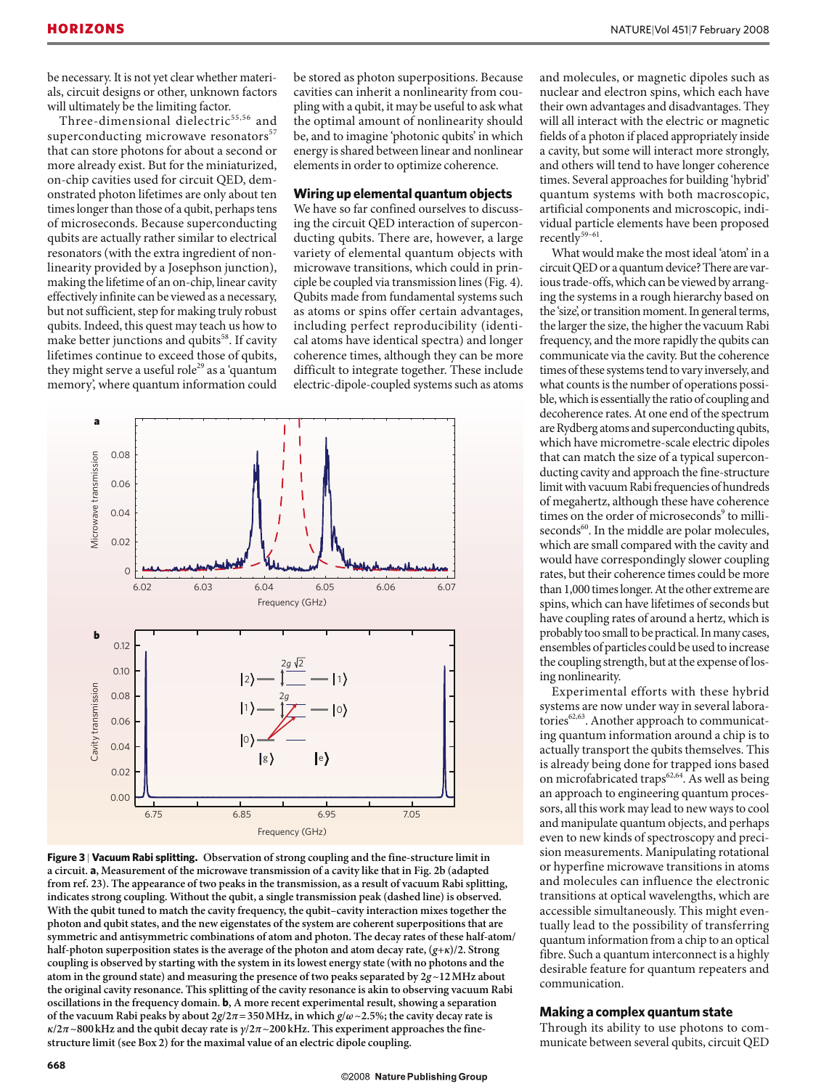be necessary. It is not yet clear whether materials, circuit designs or other, unknown factors will ultimately be the limiting factor.

Three-dimensional dielectric<sup>55,56</sup> and superconducting microwave resonators $57$ that can store photons for about a second or more already exist. But for the miniaturized, on-chip cavities used for circuit QED, demonstrated photon lifetimes are only about ten times longer than those of a qubit, perhaps tens of microseconds. Because superconducting qubits are actually rather similar to electrical resonators (with the extra ingredient of nonlinearity provided by a Josephson junction), making the lifetime of an on-chip, linear cavity effectively infinite can be viewed as a necessary, but not sufficient, step for making truly robust qubits. Indeed, this quest may teach us how to make better junctions and qubits<sup>58</sup>. If cavity lifetimes continue to exceed those of qubits, they might serve a useful role<sup>29</sup> as a 'quantum memory', where quantum information could be stored as photon superpositions. Because cavities can inherit a nonlinearity from coupling with a qubit, it may be useful to ask what the optimal amount of nonlinearity should be, and to imagine 'photonic qubits' in which energy is shared between linear and nonlinear elements in order to optimize coherence.

# **Wiring up elemental quantum objects**

We have so far confined ourselves to discussing the circuit QED interaction of superconducting qubits. There are, however, a large variety of elemental quantum objects with microwave transitions, which could in principle be coupled via transmission lines (Fig. 4). Qubits made from fundamental systems such as atoms or spins offer certain advantages, including perfect reproducibility (identical atoms have identical spectra) and longer coherence times, although they can be more difficult to integrate together. These include electric-dipole-coupled systems such as atoms



**Figure 3** | **Vacuum Rabi splitting. Observation of strong coupling and the fine-structure limit in a circuit. a, Measurement of the microwave transmission of a cavity like that in Fig. 2b (adapted from ref. 23). The appearance of two peaks in the transmission, as a result of vacuum Rabi splitting, indicates strong coupling. Without the qubit, a single transmission peak (dashed line) is observed. With the qubit tuned to match the cavity frequency, the qubit–cavity interaction mixes together the photon and qubit states, and the new eigenstates of the system are coherent superpositions that are symmetric and antisymmetric combinations of atom and photon. The decay rates of these half-atom/ half-photon superposition states is the average of the photon and atom decay rate, (***g***+***κ***)/2. Strong coupling is observed by starting with the system in its lowest energy state (with no photons and the atom in the ground state) and measuring the presence of two peaks separated by 2***g* **~12 MHz about the original cavity resonance. This splitting of the cavity resonance is akin to observing vacuum Rabi oscillations in the frequency domain. b, A more recent experimental result, showing a separation**  of the vacuum Rabi peaks by about  $2g/2\pi = 350$  MHz, in which  $g/\omega \sim 2.5$ %; the cavity decay rate is  $\kappa$ /2 $\pi$  ~800 kHz and the qubit decay rate is  $\gamma$ /2 $\pi$  ~200 kHz. This experiment approaches the fine**structure limit (see Box 2) for the maximal value of an electric dipole coupling.**

and molecules, or magnetic dipoles such as nuclear and electron spins, which each have their own advantages and disadvantages. They will all interact with the electric or magnetic fields of a photon if placed appropriately inside a cavity, but some will interact more strongly, and others will tend to have longer coherence times. Several approaches for building 'hybrid' quantum systems with both macroscopic, artificial components and microscopic, individual particle elements have been proposed recently<sup>59-61</sup>.

What would make the most ideal 'atom' in a circuit QED or a quantum device? There are various trade-offs, which can be viewed by arranging the systems in a rough hierarchy based on the 'size', or transition moment. In general terms, the larger the size, the higher the vacuum Rabi frequency, and the more rapidly the qubits can communicate via the cavity. But the coherence times of these systems tend to vary inversely, and what counts is the number of operations possible, which is essentially the ratio of coupling and decoherence rates. At one end of the spectrum are Rydberg atoms and superconducting qubits, which have micrometre-scale electric dipoles that can match the size of a typical superconducting cavity and approach the fine-structure limit with vacuum Rabi frequencies of hundreds of megahertz, although these have coherence times on the order of microseconds<sup>9</sup> to milliseconds<sup>60</sup>. In the middle are polar molecules, which are small compared with the cavity and would have correspondingly slower coupling rates, but their coherence times could be more than 1,000 times longer. At the other extreme are spins, which can have lifetimes of seconds but have coupling rates of around a hertz, which is probably too small to be practical. In many cases, ensembles of particles could be used to increase the coupling strength, but at the expense of losing nonlinearity.

Experimental efforts with these hybrid systems are now under way in several laboratories<sup>62,63</sup>. Another approach to communicating quantum information around a chip is to actually transport the qubits themselves. This is already being done for trapped ions based on microfabricated traps<sup>62,64</sup>. As well as being an approach to engineering quantum processors, all this work may lead to new ways to cool and manipulate quantum objects, and perhaps even to new kinds of spectroscopy and precision measurements. Manipulating rotational or hyperfine microwave transitions in atoms and molecules can influence the electronic transitions at optical wavelengths, which are accessible simultaneously. This might eventually lead to the possibility of transferring quantum information from a chip to an optical fibre. Such a quantum interconnect is a highly desirable feature for quantum repeaters and communication.

#### **Making a complex quantum state**

Through its ability to use photons to communicate between several qubits, circuit QED